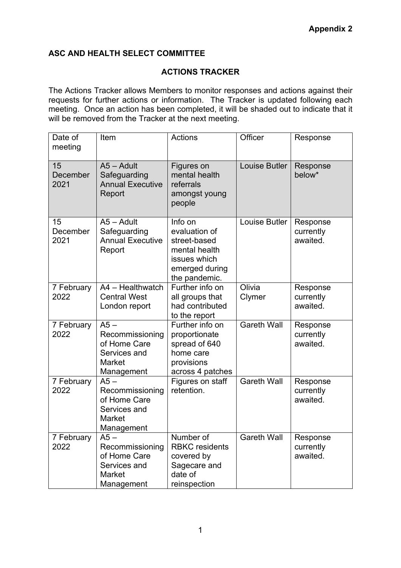## **ASC AND HEALTH SELECT COMMITTEE**

## **ACTIONS TRACKER**

The Actions Tracker allows Members to monitor responses and actions against their requests for further actions or information. The Tracker is updated following each meeting. Once an action has been completed, it will be shaded out to indicate that it will be removed from the Tracker at the next meeting.

| Date of<br>meeting     | Item                                                                                     | <b>Actions</b>                                                                                               | Officer              | Response                          |
|------------------------|------------------------------------------------------------------------------------------|--------------------------------------------------------------------------------------------------------------|----------------------|-----------------------------------|
| 15<br>December<br>2021 | $A5 - A$ dult<br>Safeguarding<br><b>Annual Executive</b><br>Report                       | Figures on<br>mental health<br>referrals<br>amongst young<br>people                                          | <b>Louise Butler</b> | Response<br>below*                |
| 15<br>December<br>2021 | $A5 - A$ dult<br>Safeguarding<br><b>Annual Executive</b><br>Report                       | Info on<br>evaluation of<br>street-based<br>mental health<br>issues which<br>emerged during<br>the pandemic. | Louise Butler        | Response<br>currently<br>awaited. |
| 7 February<br>2022     | A4 - Healthwatch<br><b>Central West</b><br>London report                                 | Further info on<br>all groups that<br>had contributed<br>to the report                                       | Olivia<br>Clymer     | Response<br>currently<br>awaited. |
| 7 February<br>2022     | $A5 -$<br>Recommissioning<br>of Home Care<br>Services and<br><b>Market</b><br>Management | Further info on<br>proportionate<br>spread of 640<br>home care<br>provisions<br>across 4 patches             | <b>Gareth Wall</b>   | Response<br>currently<br>awaited. |
| 7 February<br>2022     | $A5 -$<br>Recommissioning<br>of Home Care<br>Services and<br>Market<br>Management        | Figures on staff<br>retention.                                                                               | <b>Gareth Wall</b>   | Response<br>currently<br>awaited. |
| 7 February<br>2022     | $A5 -$<br>Recommissioning<br>of Home Care<br>Services and<br>Market<br>Management        | Number of<br><b>RBKC</b> residents<br>covered by<br>Sagecare and<br>date of<br>reinspection                  | <b>Gareth Wall</b>   | Response<br>currently<br>awaited. |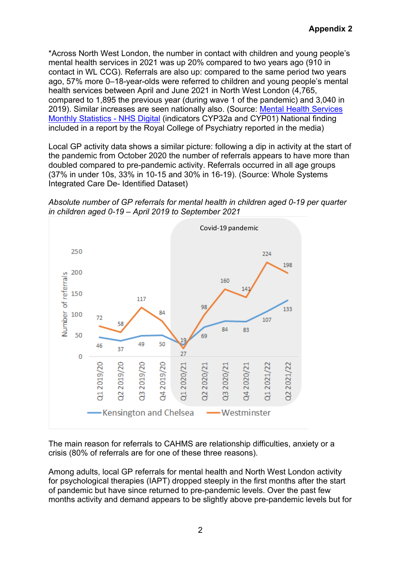\*Across North West London, the number in contact with children and young people's mental health services in 2021 was up 20% compared to two years ago (910 in contact in WL CCG). Referrals are also up: compared to the same period two years ago, 57% more 0–18-year-olds were referred to children and young people's mental health services between April and June 2021 in North West London (4,765, compared to 1,895 the previous year (during wave 1 of the pandemic) and 3,040 in 2019). Similar increases are seen nationally also. (Source: [Mental Health Services](https://digital.nhs.uk/data-and-information/publications/statistical/mental-health-services-monthly-statistics)  [Monthly Statistics -](https://digital.nhs.uk/data-and-information/publications/statistical/mental-health-services-monthly-statistics) NHS Digital (indicators CYP32a and CYP01) National finding included in a report by the Royal College of Psychiatry reported in the media)

Local GP activity data shows a similar picture: following a dip in activity at the start of the pandemic from October 2020 the number of referrals appears to have more than doubled compared to pre-pandemic activity. Referrals occurred in all age groups (37% in under 10s, 33% in 10-15 and 30% in 16-19). (Source: Whole Systems Integrated Care De- Identified Dataset)





The main reason for referrals to CAHMS are relationship difficulties, anxiety or a crisis (80% of referrals are for one of these three reasons).

Among adults, local GP referrals for mental health and North West London activity for psychological therapies (IAPT) dropped steeply in the first months after the start of pandemic but have since returned to pre-pandemic levels. Over the past few months activity and demand appears to be slightly above pre-pandemic levels but for